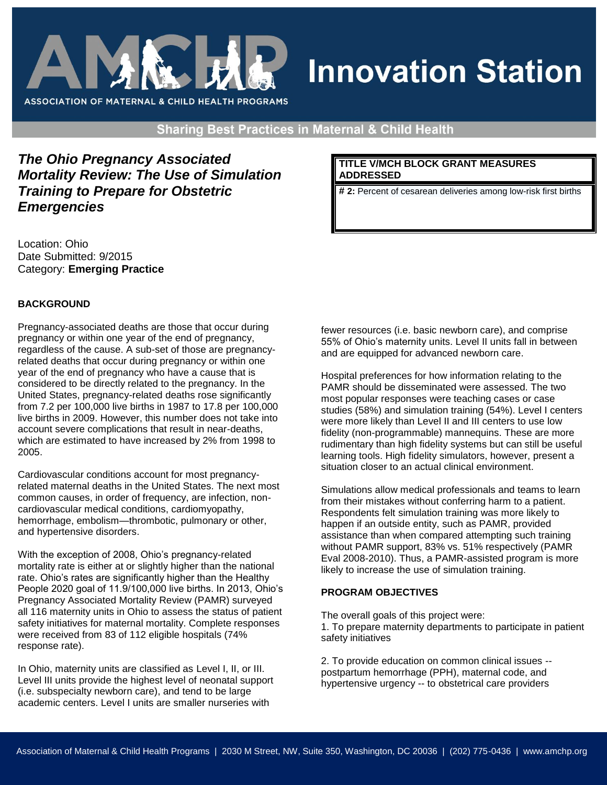

# **Innovation Station**

**Sharing Best Practices in Maternal & Child Health** 

# *The Ohio Pregnancy Associated Mortality Review: The Use of Simulation Training to Prepare for Obstetric Emergencies*

Location: Ohio Date Submitted: 9/2015 Category: **Emerging Practice**

#### **BACKGROUND**

Pregnancy-associated deaths are those that occur during pregnancy or within one year of the end of pregnancy, regardless of the cause. A sub-set of those are pregnancyrelated deaths that occur during pregnancy or within one year of the end of pregnancy who have a cause that is considered to be directly related to the pregnancy. In the United States, pregnancy-related deaths rose significantly from 7.2 per 100,000 live births in 1987 to 17.8 per 100,000 live births in 2009. However, this number does not take into account severe complications that result in near-deaths, which are estimated to have increased by 2% from 1998 to 2005.

Cardiovascular conditions account for most pregnancyrelated maternal deaths in the United States. The next most common causes, in order of frequency, are infection, noncardiovascular medical conditions, cardiomyopathy, hemorrhage, embolism—thrombotic, pulmonary or other, and hypertensive disorders.

With the exception of 2008, Ohio's pregnancy-related mortality rate is either at or slightly higher than the national rate. Ohio's rates are significantly higher than the Healthy People 2020 goal of 11.9/100,000 live births. In 2013, Ohio's Pregnancy Associated Mortality Review (PAMR) surveyed all 116 maternity units in Ohio to assess the status of patient safety initiatives for maternal mortality. Complete responses were received from 83 of 112 eligible hospitals (74% response rate).

In Ohio, maternity units are classified as Level I, II, or III. Level III units provide the highest level of neonatal support (i.e. subspecialty newborn care), and tend to be large academic centers. Level I units are smaller nurseries with

**TITLE V/MCH BLOCK GRANT MEASURES ADDRESSED** 

**# 2:** Percent of cesarean deliveries among low-risk first births

fewer resources (i.e. basic newborn care), and comprise 55% of Ohio's maternity units. Level II units fall in between and are equipped for advanced newborn care.

Hospital preferences for how information relating to the PAMR should be disseminated were assessed. The two most popular responses were teaching cases or case studies (58%) and simulation training (54%). Level I centers were more likely than Level II and III centers to use low fidelity (non-programmable) mannequins. These are more rudimentary than high fidelity systems but can still be useful learning tools. High fidelity simulators, however, present a situation closer to an actual clinical environment.

Simulations allow medical professionals and teams to learn from their mistakes without conferring harm to a patient. Respondents felt simulation training was more likely to happen if an outside entity, such as PAMR, provided assistance than when compared attempting such training without PAMR support, 83% vs. 51% respectively (PAMR Eval 2008-2010). Thus, a PAMR-assisted program is more likely to increase the use of simulation training.

#### **PROGRAM OBJECTIVES**

The overall goals of this project were:

1. To prepare maternity departments to participate in patient safety initiatives

2. To provide education on common clinical issues - postpartum hemorrhage (PPH), maternal code, and hypertensive urgency -- to obstetrical care providers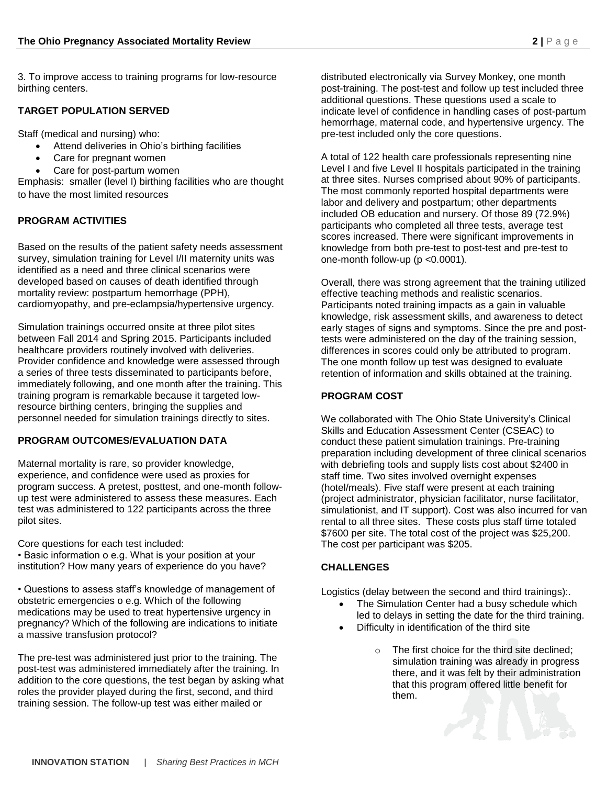3. To improve access to training programs for low-resource birthing centers.

#### **TARGET POPULATION SERVED**

Staff (medical and nursing) who:

- Attend deliveries in Ohio's birthing facilities
- Care for pregnant women
- Care for post-partum women

Emphasis: smaller (level I) birthing facilities who are thought to have the most limited resources

#### **PROGRAM ACTIVITIES**

Based on the results of the patient safety needs assessment survey, simulation training for Level I/II maternity units was identified as a need and three clinical scenarios were developed based on causes of death identified through mortality review: postpartum hemorrhage (PPH), cardiomyopathy, and pre-eclampsia/hypertensive urgency.

Simulation trainings occurred onsite at three pilot sites between Fall 2014 and Spring 2015. Participants included healthcare providers routinely involved with deliveries. Provider confidence and knowledge were assessed through a series of three tests disseminated to participants before, immediately following, and one month after the training. This training program is remarkable because it targeted lowresource birthing centers, bringing the supplies and personnel needed for simulation trainings directly to sites.

#### **PROGRAM OUTCOMES/EVALUATION DATA**

Maternal mortality is rare, so provider knowledge, experience, and confidence were used as proxies for program success. A pretest, posttest, and one-month followup test were administered to assess these measures. Each test was administered to 122 participants across the three pilot sites.

Core questions for each test included: • Basic information o e.g. What is your position at your institution? How many years of experience do you have?

• Questions to assess staff's knowledge of management of obstetric emergencies o e.g. Which of the following medications may be used to treat hypertensive urgency in pregnancy? Which of the following are indications to initiate a massive transfusion protocol?

The pre-test was administered just prior to the training. The post-test was administered immediately after the training. In addition to the core questions, the test began by asking what roles the provider played during the first, second, and third training session. The follow-up test was either mailed or

distributed electronically via Survey Monkey, one month post-training. The post-test and follow up test included three additional questions. These questions used a scale to indicate level of confidence in handling cases of post-partum hemorrhage, maternal code, and hypertensive urgency. The pre-test included only the core questions.

A total of 122 health care professionals representing nine Level I and five Level II hospitals participated in the training at three sites. Nurses comprised about 90% of participants. The most commonly reported hospital departments were labor and delivery and postpartum; other departments included OB education and nursery. Of those 89 (72.9%) participants who completed all three tests, average test scores increased. There were significant improvements in knowledge from both pre-test to post-test and pre-test to one-month follow-up (p <0.0001).

Overall, there was strong agreement that the training utilized effective teaching methods and realistic scenarios. Participants noted training impacts as a gain in valuable knowledge, risk assessment skills, and awareness to detect early stages of signs and symptoms. Since the pre and posttests were administered on the day of the training session, differences in scores could only be attributed to program. The one month follow up test was designed to evaluate retention of information and skills obtained at the training.

#### **PROGRAM COST**

We collaborated with The Ohio State University's Clinical Skills and Education Assessment Center (CSEAC) to conduct these patient simulation trainings. Pre-training preparation including development of three clinical scenarios with debriefing tools and supply lists cost about \$2400 in staff time. Two sites involved overnight expenses (hotel/meals). Five staff were present at each training (project administrator, physician facilitator, nurse facilitator, simulationist, and IT support). Cost was also incurred for van rental to all three sites. These costs plus staff time totaled \$7600 per site. The total cost of the project was \$25,200. The cost per participant was \$205.

# **CHALLENGES**

Logistics (delay between the second and third trainings):.

- The Simulation Center had a busy schedule which led to delays in setting the date for the third training.
- Difficulty in identification of the third site
	- o The first choice for the third site declined; simulation training was already in progress there, and it was felt by their administration that this program offered little benefit for them.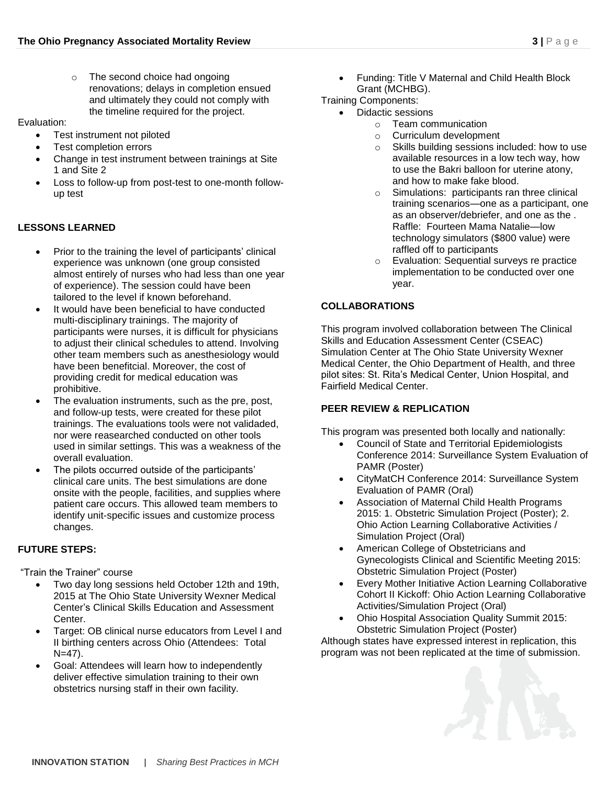o The second choice had ongoing renovations; delays in completion ensued and ultimately they could not comply with the timeline required for the project.

Evaluation:

- Test instrument not piloted
- Test completion errors
- Change in test instrument between trainings at Site 1 and Site 2
- Loss to follow-up from post-test to one-month followup test

#### **LESSONS LEARNED**

- Prior to the training the level of participants' clinical experience was unknown (one group consisted almost entirely of nurses who had less than one year of experience). The session could have been tailored to the level if known beforehand.
- It would have been beneficial to have conducted multi-disciplinary trainings. The majority of participants were nurses, it is difficult for physicians to adjust their clinical schedules to attend. Involving other team members such as anesthesiology would have been benefitcial. Moreover, the cost of providing credit for medical education was prohibitive.
- The evaluation instruments, such as the pre, post, and follow-up tests, were created for these pilot trainings. The evaluations tools were not validaded, nor were reasearched conducted on other tools used in similar settings. This was a weakness of the overall evaluation.
- The pilots occurred outside of the participants' clinical care units. The best simulations are done onsite with the people, facilities, and supplies where patient care occurs. This allowed team members to identify unit-specific issues and customize process changes.

# **FUTURE STEPS:**

"Train the Trainer" course

- Two day long sessions held October 12th and 19th, 2015 at The Ohio State University Wexner Medical Center's Clinical Skills Education and Assessment Center.
- Target: OB clinical nurse educators from Level I and II birthing centers across Ohio (Attendees: Total N=47).
- Goal: Attendees will learn how to independently deliver effective simulation training to their own obstetrics nursing staff in their own facility.

 Funding: Title V Maternal and Child Health Block Grant (MCHBG).

Training Components:

- Didactic sessions
	- o Team communication
	- o Curriculum development
	- o Skills building sessions included: how to use available resources in a low tech way, how to use the Bakri balloon for uterine atony, and how to make fake blood.
	- o Simulations: participants ran three clinical training scenarios—one as a participant, one as an observer/debriefer, and one as the . Raffle: Fourteen Mama Natalie—low technology simulators (\$800 value) were raffled off to participants
	- o Evaluation: Sequential surveys re practice implementation to be conducted over one year.

# **COLLABORATIONS**

This program involved collaboration between The Clinical Skills and Education Assessment Center (CSEAC) Simulation Center at The Ohio State University Wexner Medical Center, the Ohio Department of Health, and three pilot sites: St. Rita's Medical Center, Union Hospital, and Fairfield Medical Center.

#### **PEER REVIEW & REPLICATION**

This program was presented both locally and nationally:

- Council of State and Territorial Epidemiologists Conference 2014: Surveillance System Evaluation of PAMR (Poster)
- CityMatCH Conference 2014: Surveillance System Evaluation of PAMR (Oral)
- Association of Maternal Child Health Programs 2015: 1. Obstetric Simulation Project (Poster); 2. Ohio Action Learning Collaborative Activities / Simulation Project (Oral)
- American College of Obstetricians and Gynecologists Clinical and Scientific Meeting 2015: Obstetric Simulation Project (Poster)
- Every Mother Initiative Action Learning Collaborative Cohort II Kickoff: Ohio Action Learning Collaborative Activities/Simulation Project (Oral)
- Ohio Hospital Association Quality Summit 2015: Obstetric Simulation Project (Poster)

Although states have expressed interest in replication, this program was not been replicated at the time of submission.